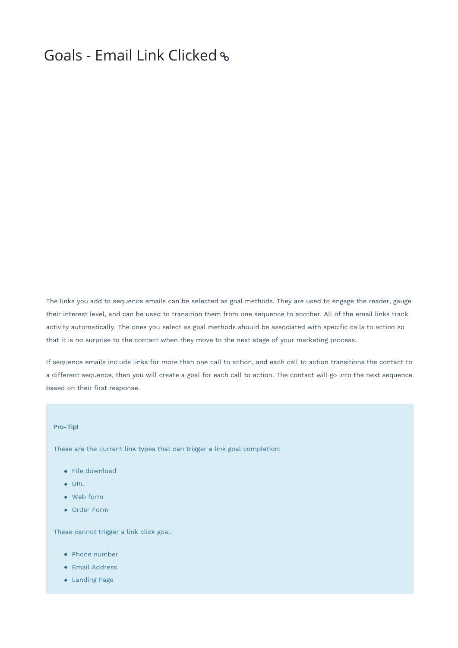## Goals - Email Link Clicked

The links you add to sequence emails can be selected as goal methods. They are used to engage the reader, gauge their interest level, and can be used to transition them from one sequence to another. All of the email links track activity automatically. The ones you select as goal methods should be associated with specific calls to action so that it is no surprise to the contact when they move to the next stage of your marketing process.

If sequence emails include links for more than one call to action, and each call to action transitions the contact to a different sequence, then you will create a goal for each call to action. The contact will go into the next sequence based on their first response.

## Pro-Tip!

These are the current link types that can trigger a link goal completion:

- File download
- URL
- Web form
- Order Form

These cannot trigger a link click goal:

- Phone number
- **•** Email Address
- Landing Page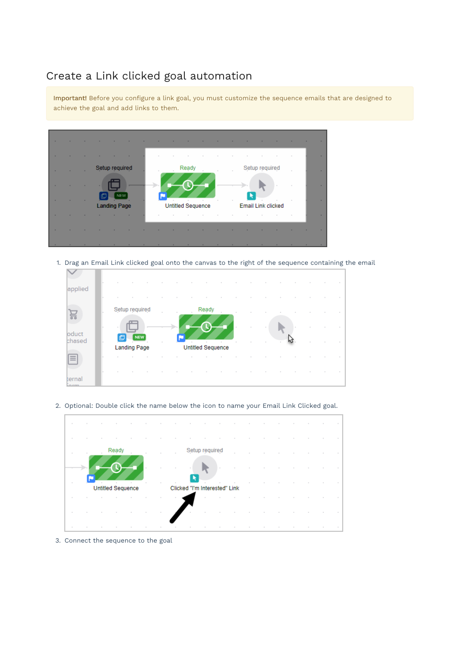## Create a Link clicked goal automation

Important! Before you configure a link goal, you must customize the sequence emails that are designed to achieve the goal and add links to them.



1. Drag an Email Link clicked goal onto the canvas to the right of the sequence containing the email



2. Optional: Double click the name below the icon to name your Email Link Clicked goal.



3. Connect the sequence to the goal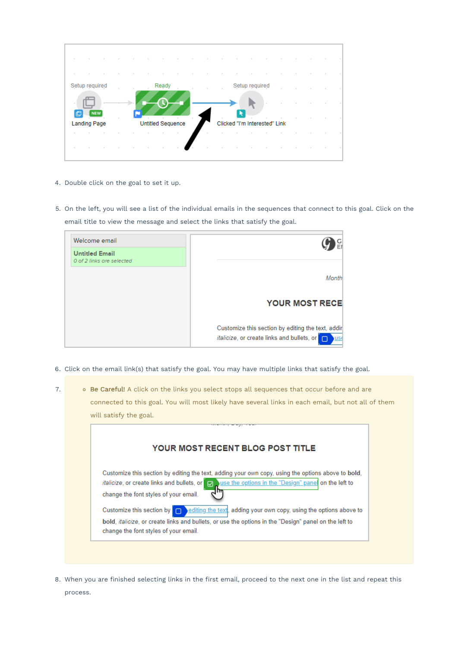| Setup required      |  |                          | Ready |        |        |                               | Setup required |  |  |  |
|---------------------|--|--------------------------|-------|--------|--------|-------------------------------|----------------|--|--|--|
| <b>NEW</b>          |  |                          |       |        |        |                               |                |  |  |  |
| <b>Landing Page</b> |  | <b>Untitled Sequence</b> |       | $\sim$ |        | Clicked "I'm Interested" Link |                |  |  |  |
| $\sim$              |  |                          |       |        | $\sim$ |                               |                |  |  |  |
|                     |  |                          |       |        |        |                               |                |  |  |  |

- 4. Double click on the goal to set it up.
- 5. On the left, you will see a list of the individual emails in the sequences that connect to this goal. Click on the email title to view the message and select the links that satisfy the goal.

| Welcome email                                      |                                                                                                                      |
|----------------------------------------------------|----------------------------------------------------------------------------------------------------------------------|
| <b>Untitled Email</b><br>0 of 2 links are selected |                                                                                                                      |
|                                                    | Month                                                                                                                |
|                                                    | <b>YOUR MOST RECE</b>                                                                                                |
|                                                    | Customize this section by editing the text, addir<br><i>italicize</i> , or create links and bullets, or<br><b>US</b> |

6. Click on the email link(s) that satisfy the goal. You may have multiple links that satisfy the goal.

|  | will satisfy the goal.                                                                                                                                                                                                                                        |
|--|---------------------------------------------------------------------------------------------------------------------------------------------------------------------------------------------------------------------------------------------------------------|
|  | YOUR MOST RECENT BLOG POST TITLE.                                                                                                                                                                                                                             |
|  | Customize this section by editing the text, adding your own copy, using the options above to bold,<br>italicize, or create links and bullets, or $\Box$ use the options in the "Design" pane on the left to<br>change the font styles of your email.          |
|  | Customize this section by $\Box$ editing the text, adding your own copy, using the options above to<br>bold, <i>italicize</i> , or create links and bullets, or use the options in the "Design" panel on the left to<br>change the font styles of your email. |

8. When you are finished selecting links in the first email, proceed to the next one in the list and repeat this process.